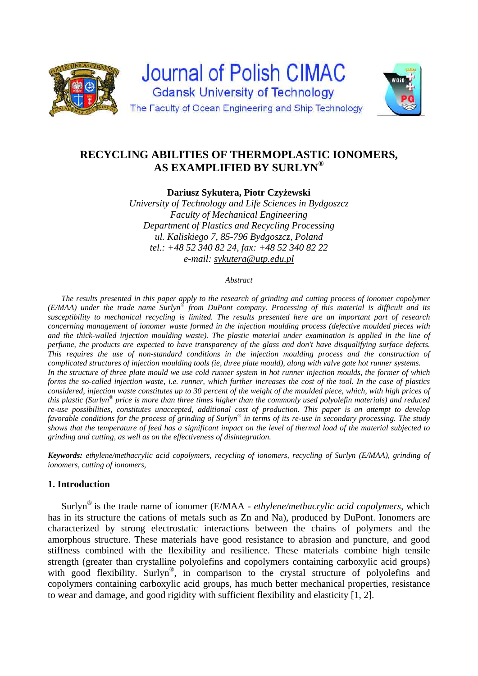



**Dariusz Sykutera, Piotr Czyżewski** 

*University of Technology and Life Sciences in Bydgoszcz Faculty of Mechanical Engineering Department of Plastics and Recycling Processing ul. Kaliskiego 7, 85-796 Bydgoszcz, Poland tel.: +48 52 340 82 24, fax: +48 52 340 82 22 e-mail: sykutera@utp.edu.pl* 

#### *Abstract*

 *The results presented in this paper apply to the research of grinding and cutting process of ionomer copolymer (E/MAA) under the trade name Surlyn® from DuPont company. Processing of this material is difficult and its susceptibility to mechanical recycling is limited. The results presented here are an important part of research concerning management of ionomer waste formed in the injection moulding process (defective moulded pieces with and the thick-walled injection moulding waste). The plastic material under examination is applied in the line of perfume, the products are expected to have transparency of the glass and don't have disqualifying surface defects. This requires the use of non-standard conditions in the injection moulding process and the construction of complicated structures of injection moulding tools (ie, three plate mould), along with valve gate hot runner systems. In the structure of three plate mould we use cold runner system in hot runner injection moulds, the former of which forms the so-called injection waste, i.e. runner, which further increases the cost of the tool. In the case of plastics considered, injection waste constitutes up to 30 percent of the weight of the moulded piece, which, with high prices of this plastic (Surlyn® price is more than three times higher than the commonly used polyolefin materials) and reduced re-use possibilities, constitutes unaccepted, additional cost of production. This paper is an attempt to develop favorable conditions for the process of grinding of Surlyn® in terms of its re-use in secondary processing. The study shows that the temperature of feed has a significant impact on the level of thermal load of the material subjected to grinding and cutting, as well as on the effectiveness of disintegration.* 

*Keywords: ethylene/methacrylic acid copolymers*, *recycling of ionomers, recycling of Surlyn (E/MAA), grinding of ionomers, cutting of ionomers,* 

### **1. Introduction**

Surlyn® is the trade name of ionomer (E/MAA - *ethylene/methacrylic acid copolymers,* which has in its structure the cations of metals such as Zn and Na), produced by DuPont. Ionomers are characterized by strong electrostatic interactions between the chains of polymers and the amorphous structure. These materials have good resistance to abrasion and puncture, and good stiffness combined with the flexibility and resilience. These materials combine high tensile strength (greater than crystalline polyolefins and copolymers containing carboxylic acid groups) with good flexibility. Surlyn<sup>®</sup>, in comparison to the crystal structure of polyolefins and copolymers containing carboxylic acid groups, has much better mechanical properties, resistance to wear and damage, and good rigidity with sufficient flexibility and elasticity [1, 2].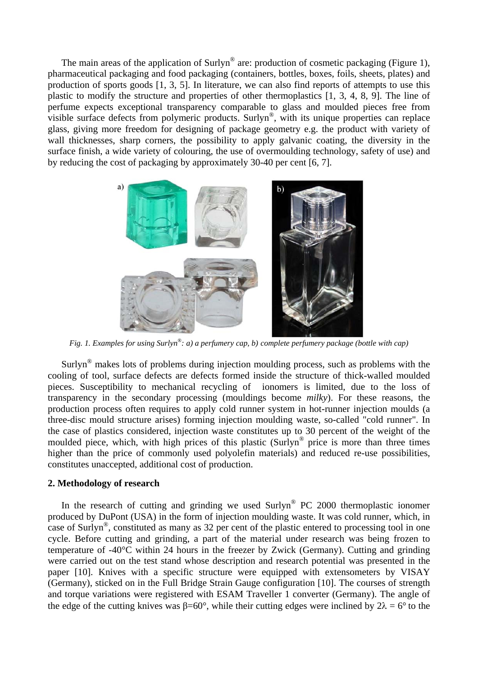The main areas of the application of Surlyn<sup>®</sup> are: production of cosmetic packaging (Figure 1), pharmaceutical packaging and food packaging (containers, bottles, boxes, foils, sheets, plates) and production of sports goods [1, 3, 5]. In literature, we can also find reports of attempts to use this plastic to modify the structure and properties of other thermoplastics [1, 3, 4, 8, 9]. The line of perfume expects exceptional transparency comparable to glass and moulded pieces free from visible surface defects from polymeric products. Surlyn®, with its unique properties can replace glass, giving more freedom for designing of package geometry e.g. the product with variety of wall thicknesses, sharp corners, the possibility to apply galvanic coating, the diversity in the surface finish, a wide variety of colouring, the use of overmoulding technology, safety of use) and by reducing the cost of packaging by approximately 30-40 per cent [6, 7].



*Fig. 1. Examples for using Surlyn®: a) a perfumery cap, b) complete perfumery package (bottle with cap)* 

 Surlyn® makes lots of problems during injection moulding process, such as problems with the cooling of tool, surface defects are defects formed inside the structure of thick-walled moulded pieces. Susceptibility to mechanical recycling of ionomers is limited, due to the loss of transparency in the secondary processing (mouldings become *milky*). For these reasons, the production process often requires to apply cold runner system in hot-runner injection moulds (a three-disc mould structure arises) forming injection moulding waste, so-called "cold runner". In the case of plastics considered, injection waste constitutes up to 30 percent of the weight of the moulded piece, which, with high prices of this plastic (Surlyn® price is more than three times higher than the price of commonly used polyolefin materials) and reduced re-use possibilities, constitutes unaccepted, additional cost of production.

# **2. Methodology of research**

In the research of cutting and grinding we used Surlyn<sup>®</sup> PC 2000 thermoplastic ionomer produced by DuPont (USA) in the form of injection moulding waste. It was cold runner, which, in case of Surlyn®, constituted as many as 32 per cent of the plastic entered to processing tool in one cycle. Before cutting and grinding, a part of the material under research was being frozen to temperature of -40°C within 24 hours in the freezer by Zwick (Germany). Cutting and grinding were carried out on the test stand whose description and research potential was presented in the paper [10]. Knives with a specific structure were equipped with extensometers by VISAY (Germany), sticked on in the Full Bridge Strain Gauge configuration [10]. The courses of strength and torque variations were registered with ESAM Traveller 1 converter (Germany). The angle of the edge of the cutting knives was  $\beta = 60^\circ$ , while their cutting edges were inclined by  $2\lambda = 6^\circ$  to the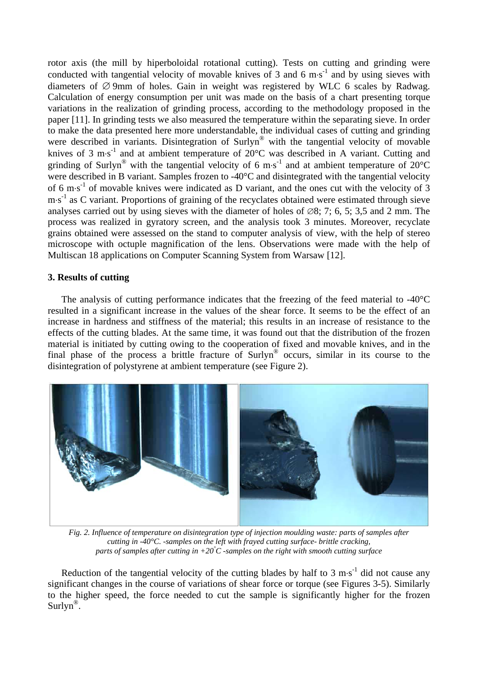rotor axis (the mill by hiperboloidal rotational cutting). Tests on cutting and grinding were conducted with tangential velocity of movable knives of 3 and 6 m $\cdot$ s<sup>-1</sup> and by using sieves with diameters of  $\varnothing$  9mm of holes. Gain in weight was registered by WLC 6 scales by Radwag. Calculation of energy consumption per unit was made on the basis of a chart presenting torque variations in the realization of grinding process, according to the methodology proposed in the paper [11]. In grinding tests we also measured the temperature within the separating sieve. In order to make the data presented here more understandable, the individual cases of cutting and grinding were described in variants. Disintegration of Surlyn® with the tangential velocity of movable knives of 3 m·s<sup>-1</sup> and at ambient temperature of  $20^{\circ}$ C was described in A variant. Cutting and grinding of Surlyn<sup>®</sup> with the tangential velocity of 6 m·s<sup>-1</sup> and at ambient temperature of 20°C were described in B variant. Samples frozen to -40°C and disintegrated with the tangential velocity of 6 m·s<sup>-1</sup> of movable knives were indicated as D variant, and the ones cut with the velocity of 3  $\text{m} \cdot \text{s}^{-1}$  as C variant. Proportions of graining of the recyclates obtained were estimated through sieve analyses carried out by using sieves with the diameter of holes of  $\emptyset$ 8; 7; 6, 5; 3,5 and 2 mm. The process was realized in gyratory screen, and the analysis took 3 minutes. Moreover, recyclate grains obtained were assessed on the stand to computer analysis of view, with the help of stereo microscope with octuple magnification of the lens. Observations were made with the help of Multiscan 18 applications on Computer Scanning System from Warsaw [12].

# **3. Results of cutting**

 The analysis of cutting performance indicates that the freezing of the feed material to -40°C resulted in a significant increase in the values of the shear force. It seems to be the effect of an increase in hardness and stiffness of the material; this results in an increase of resistance to the effects of the cutting blades. At the same time, it was found out that the distribution of the frozen material is initiated by cutting owing to the cooperation of fixed and movable knives, and in the final phase of the process a brittle fracture of Surlyn<sup>®</sup> occurs, similar in its course to the disintegration of polystyrene at ambient temperature (see Figure 2).



*Fig. 2. Influence of temperature on disintegration type of injection moulding waste: parts of samples after cutting in -40°C. -samples on the left with frayed cutting surface- brittle cracking, parts of samples after cutting in +20° C -samples on the right with smooth cutting surface* 

Reduction of the tangential velocity of the cutting blades by half to 3 m·s<sup>-1</sup> did not cause any significant changes in the course of variations of shear force or torque (see Figures 3-5). Similarly to the higher speed, the force needed to cut the sample is significantly higher for the frozen  $Surlyn^{\circledR}$ .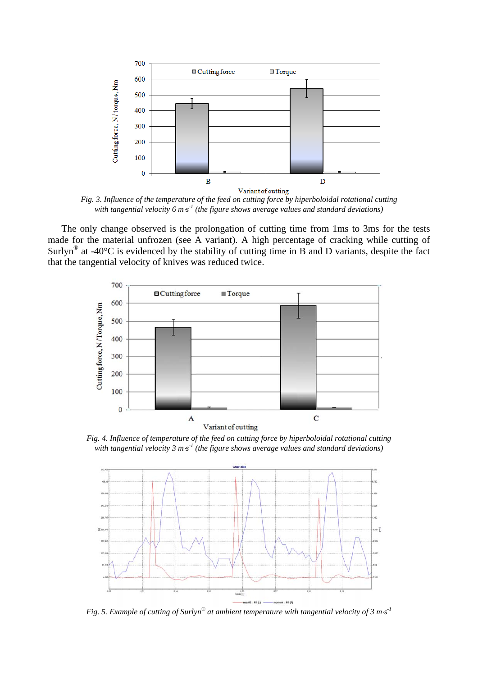

*Fig. 3. Influence of the temperature of the feed on cutting force by hiperboloidal rotational cutting*  with tangential velocity 6 m<sup>*s*<sup>1</sup> (the figure shows average values and standard deviations)</sup>

 The only change observed is the prolongation of cutting time from 1ms to 3ms for the tests made for the material unfrozen (see A variant). A high percentage of cracking while cutting of Surlyn<sup>®</sup> at -40 $^{\circ}$ C is evidenced by the stability of cutting time in B and D variants, despite the fact that the tangential velocity of knives was reduced twice.



*Fig. 4. Influence of temperature of the feed on cutting force by hiperboloidal rotational cutting*  with tangential velocity 3 m·s<sup>-1</sup> (the figure shows average values and standard deviations)



*Fig. 5. Example of cutting of Surlyn® at ambient temperature with tangential velocity of 3 ms -1*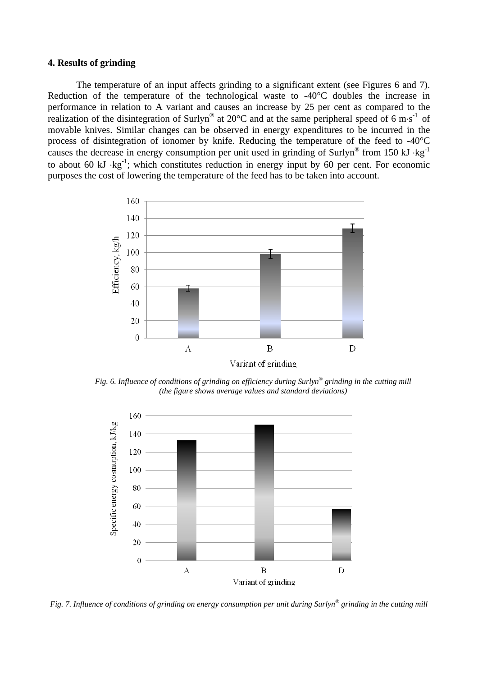### **4. Results of grinding**

The temperature of an input affects grinding to a significant extent (see Figures 6 and 7). Reduction of the temperature of the technological waste to -40°C doubles the increase in performance in relation to A variant and causes an increase by 25 per cent as compared to the realization of the disintegration of Surlyn<sup>®</sup> at 20 $\degree$ C and at the same peripheral speed of 6 m·s<sup>-1</sup> of movable knives. Similar changes can be observed in energy expenditures to be incurred in the process of disintegration of ionomer by knife. Reducing the temperature of the feed to -40°C causes the decrease in energy consumption per unit used in grinding of Surlyn<sup>®</sup> from 150 kJ  $kg^{-1}$ to about 60 kJ  $kg^{-1}$ ; which constitutes reduction in energy input by 60 per cent. For economic purposes the cost of lowering the temperature of the feed has to be taken into account.



*Fig. 6. Influence of conditions of grinding on efficiency during Surlyn® grinding in the cutting mill (the figure shows average values and standard deviations)* 



*Fig. 7. Influence of conditions of grinding on energy consumption per unit during Surlyn® grinding in the cutting mill*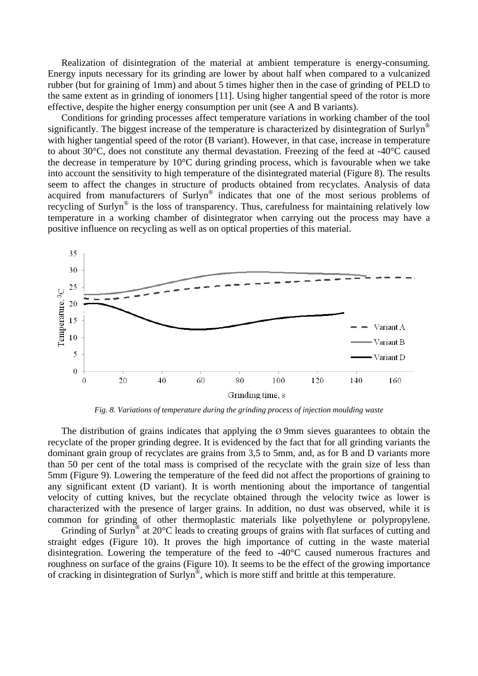Realization of disintegration of the material at ambient temperature is energy-consuming. Energy inputs necessary for its grinding are lower by about half when compared to a vulcanized rubber (but for graining of 1mm) and about 5 times higher then in the case of grinding of PELD to the same extent as in grinding of ionomers [11]. Using higher tangential speed of the rotor is more effective, despite the higher energy consumption per unit (see A and B variants).

Conditions for grinding processes affect temperature variations in working chamber of the tool significantly. The biggest increase of the temperature is characterized by disintegration of Surlyn<sup>®</sup> with higher tangential speed of the rotor (B variant). However, in that case, increase in temperature to about 30°C, does not constitute any thermal devastation. Freezing of the feed at -40°C caused the decrease in temperature by 10°C during grinding process, which is favourable when we take into account the sensitivity to high temperature of the disintegrated material (Figure 8). The results seem to affect the changes in structure of products obtained from recyclates. Analysis of data acquired from manufacturers of Surlyn® indicates that one of the most serious problems of recycling of Surlyn<sup>®</sup> is the loss of transparency. Thus, carefulness for maintaining relatively low temperature in a working chamber of disintegrator when carrying out the process may have a positive influence on recycling as well as on optical properties of this material.



*Fig. 8. Variations of temperature during the grinding process of injection moulding waste* 

The distribution of grains indicates that applying the  $\varnothing$  9mm sieves guarantees to obtain the recyclate of the proper grinding degree. It is evidenced by the fact that for all grinding variants the dominant grain group of recyclates are grains from 3,5 to 5mm, and, as for B and D variants more than 50 per cent of the total mass is comprised of the recyclate with the grain size of less than 5mm (Figure 9). Lowering the temperature of the feed did not affect the proportions of graining to any significant extent (D variant). It is worth mentioning about the importance of tangential velocity of cutting knives, but the recyclate obtained through the velocity twice as lower is characterized with the presence of larger grains. In addition, no dust was observed, while it is common for grinding of other thermoplastic materials like polyethylene or polypropylene.

Grinding of Surlyn<sup>®</sup> at 20°C leads to creating groups of grains with flat surfaces of cutting and straight edges (Figure 10). It proves the high importance of cutting in the waste material disintegration. Lowering the temperature of the feed to -40°C caused numerous fractures and roughness on surface of the grains (Figure 10). It seems to be the effect of the growing importance of cracking in disintegration of Surlyn®, which is more stiff and brittle at this temperature.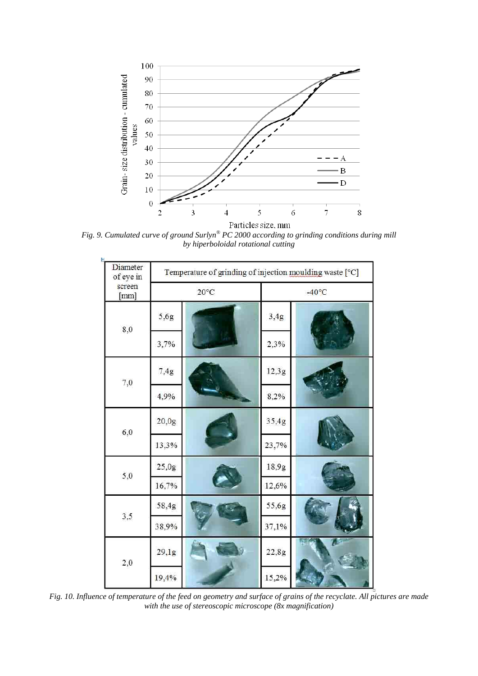

*Fig. 9. Cumulated curve of ground Surlyn® PC 2000 according to grinding conditions during mill by hiperboloidal rotational cutting* 

| ŧ.<br>Diameter<br>of eye in | Temperature of grinding of injection moulding waste [°C] |  |                 |  |
|-----------------------------|----------------------------------------------------------|--|-----------------|--|
| screen<br>[mm]              | $20^{\circ}$ C                                           |  | $-40^{\circ}$ C |  |
| 8,0                         | 5,6g                                                     |  | 3,4g            |  |
|                             | 3,7%                                                     |  | 2,3%            |  |
| 7,0                         | 7,4g                                                     |  | 12,3g           |  |
|                             | 4,9%                                                     |  | 8,2%            |  |
| 6,0                         | 20,0g                                                    |  | 35,4g           |  |
|                             | 13,3%                                                    |  | 23,7%           |  |
| 5,0                         | 25,0g                                                    |  | 18,9g           |  |
|                             | 16,7%                                                    |  | 12,6%           |  |
| 3,5                         | 58,4g                                                    |  | 55,6g           |  |
|                             | 38,9%                                                    |  | 37,1%           |  |
| 2,0                         | 29,1g                                                    |  | 22,8g           |  |
|                             | 19,4%                                                    |  | 15,2%           |  |

*Fig. 10. Influence of temperature of the feed on geometry and surface of grains of the recyclate. All pictures are made with the use of stereoscopic microscope (8x magnification)*